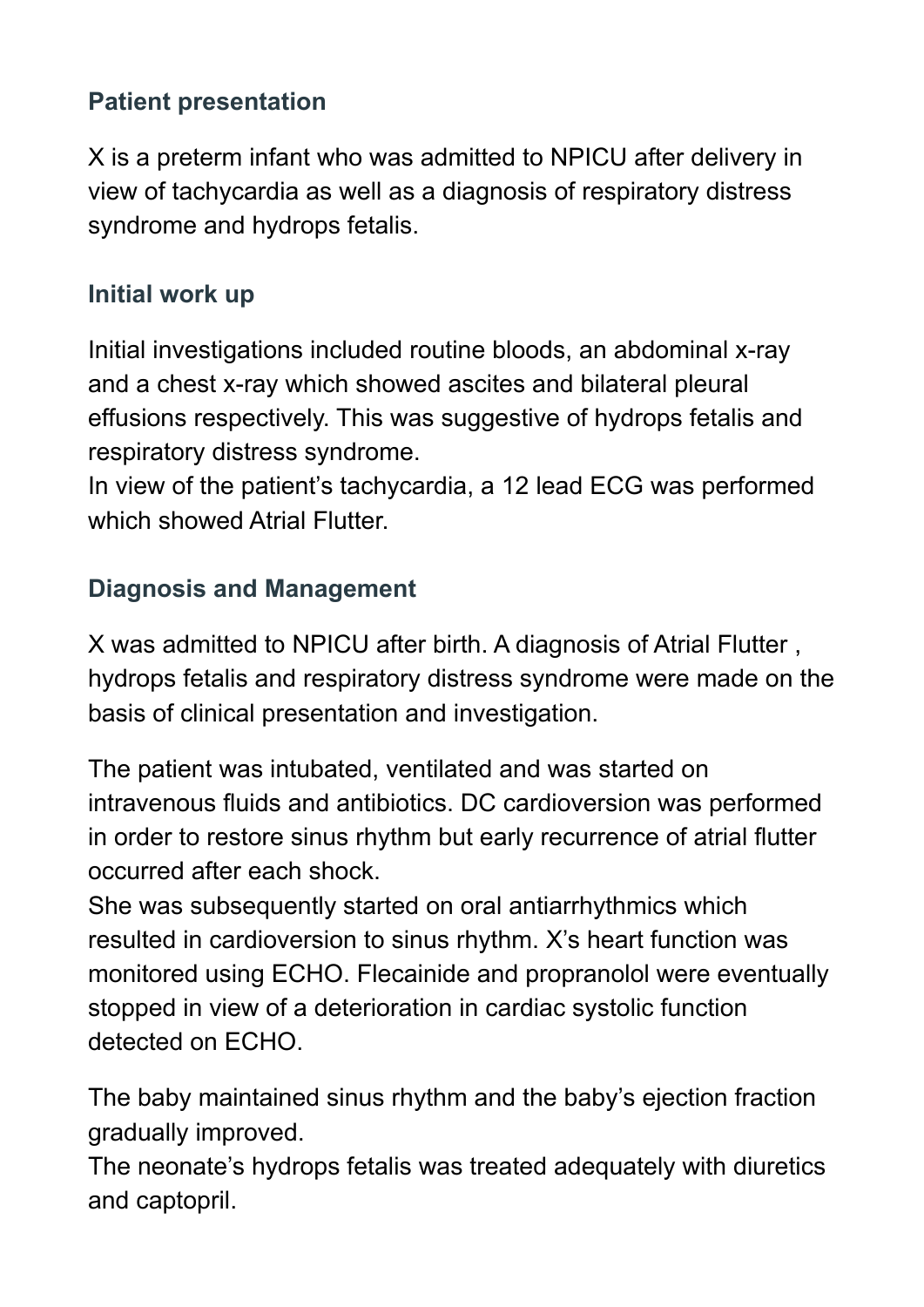### **Patient presentation**

X is a preterm infant who was admitted to NPICU after delivery in view of tachycardia as well as a diagnosis of respiratory distress syndrome and hydrops fetalis.

### **Initial work up**

Initial investigations included routine bloods, an abdominal x-ray and a chest x-ray which showed ascites and bilateral pleural effusions respectively. This was suggestive of hydrops fetalis and respiratory distress syndrome.

In view of the patient's tachycardia, a 12 lead ECG was performed which showed Atrial Flutter.

# **Diagnosis and Management**

X was admitted to NPICU after birth. A diagnosis of Atrial Flutter , hydrops fetalis and respiratory distress syndrome were made on the basis of clinical presentation and investigation.

The patient was intubated, ventilated and was started on intravenous fluids and antibiotics. DC cardioversion was performed in order to restore sinus rhythm but early recurrence of atrial flutter occurred after each shock.

She was subsequently started on oral antiarrhythmics which resulted in cardioversion to sinus rhythm. X's heart function was monitored using ECHO. Flecainide and propranolol were eventually stopped in view of a deterioration in cardiac systolic function detected on ECHO.

The baby maintained sinus rhythm and the baby's ejection fraction gradually improved.

The neonate's hydrops fetalis was treated adequately with diuretics and captopril.